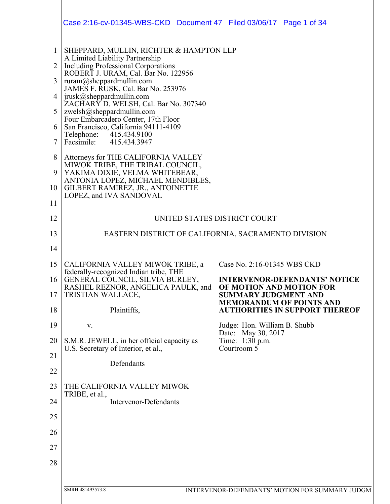|                | Case 2:16-cv-01345-WBS-CKD  Document 47  Filed 03/06/17  Page 1 of 34                                   |                                                                          |
|----------------|---------------------------------------------------------------------------------------------------------|--------------------------------------------------------------------------|
|                |                                                                                                         |                                                                          |
| 1              | SHEPPARD, MULLIN, RICHTER & HAMPTON LLP<br>A Limited Liability Partnership                              |                                                                          |
| $\overline{2}$ | <b>Including Professional Corporations</b><br>ROBERT J. URAM, Cal. Bar No. 122956                       |                                                                          |
| 3              | ruram@sheppardmullin.com<br>JAMES F. RUSK, Cal. Bar No. 253976                                          |                                                                          |
| 4              | jrusk@sheppardmullin.com<br>ZACHARY D. WELSH, Cal. Bar No. 307340                                       |                                                                          |
| 5              | zwelsh@sheppardmullin.com<br>Four Embarcadero Center, 17th Floor                                        |                                                                          |
| 6              | San Francisco, California 94111-4109<br>Telephone:<br>415.434.9100                                      |                                                                          |
| 7              | Facsimile: 415.434.3947                                                                                 |                                                                          |
| 8<br>9         | Attorneys for THE CALIFORNIA VALLEY<br>MIWOK TRIBE, THE TRIBAL COUNCIL,                                 |                                                                          |
| 10             | YAKIMA DIXIE, VELMA WHITEBEAR,<br>ANTONIA LOPEZ, MICHAEL MENDIBLES,<br>GILBERT RAMIREZ, JR., ANTOINETTE |                                                                          |
| 11             | LOPEZ, and IVA SANDOVAL                                                                                 |                                                                          |
| 12             |                                                                                                         | UNITED STATES DISTRICT COURT                                             |
| 13             |                                                                                                         | EASTERN DISTRICT OF CALIFORNIA, SACRAMENTO DIVISION                      |
| 14             |                                                                                                         |                                                                          |
| 15             | CALIFORNIA VALLEY MIWOK TRIBE, a                                                                        | Case No. 2:16-01345 WBS CKD                                              |
| 16             | federally-recognized Indian tribe, THE<br>GENERAL COUNCIL, SILVIA BURLEY,                               | <b>INTERVENOR-DEFENDANTS' NOTICE</b>                                     |
| 17             | RASHEL REZNOR, ANGELICA PAULK, and<br>TRISTIAN WALLACE,                                                 | OF MOTION AND MOTION FOR<br><b>SUMMARY JUDGMENT AND</b>                  |
| 18             | Plaintiffs,                                                                                             | <b>MEMORANDUM OF POINTS AND</b><br><b>AUTHORITIES IN SUPPORT THEREOF</b> |
| 19             | V.                                                                                                      | Judge: Hon. William B. Shubb<br>Date: May 30, 2017                       |
| 20             | S.M.R. JEWELL, in her official capacity as<br>U.S. Secretary of Interior, et al.,                       | Time: 1:30 p.m.<br>Courtroom $\overline{5}$                              |
| 21             | Defendants                                                                                              |                                                                          |
| 22             |                                                                                                         |                                                                          |
| 23             | THE CALIFORNIA VALLEY MIWOK<br>TRIBE, et al.,                                                           |                                                                          |
| 24             | <b>Intervenor-Defendants</b>                                                                            |                                                                          |
| 25             |                                                                                                         |                                                                          |
| 26             |                                                                                                         |                                                                          |
| 27             |                                                                                                         |                                                                          |
| 28             |                                                                                                         |                                                                          |
|                | SMRH:481493573.8                                                                                        | INTERVENOR-DEFENDANTS' MOTION FOR SUMMARY JUDGM                          |
|                |                                                                                                         |                                                                          |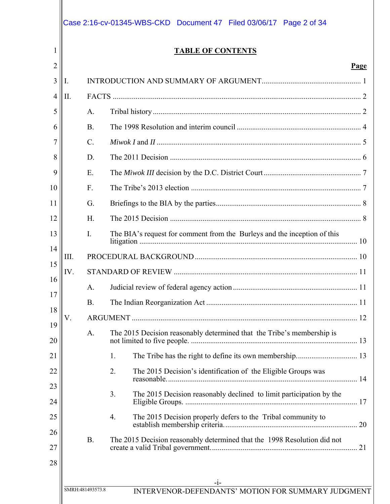|     |           | <b>TABLE OF CONTENTS</b>                                                  |
|-----|-----------|---------------------------------------------------------------------------|
|     |           | Page                                                                      |
| Ι.  |           |                                                                           |
| II. |           |                                                                           |
|     | A.        |                                                                           |
|     | <b>B.</b> |                                                                           |
|     | $C$ .     |                                                                           |
|     | D.        |                                                                           |
|     | E.        |                                                                           |
|     | F.        |                                                                           |
|     | G.        |                                                                           |
|     | H.        |                                                                           |
|     | I.        | The BIA's request for comment from the Burleys and the inception of this  |
| Ш.  |           |                                                                           |
| IV. |           |                                                                           |
|     | A.        |                                                                           |
|     | <b>B.</b> |                                                                           |
| V.  |           |                                                                           |
|     | A.        | The 2015 Decision reasonably determined that the Tribe's membership is    |
|     |           | 1.                                                                        |
|     |           | 2.<br>The 2015 Decision's identification of the Eligible Groups was       |
|     |           | 3.<br>The 2015 Decision reasonably declined to limit participation by the |
|     |           | The 2015 Decision properly defers to the Tribal community to<br>4.        |
|     | <b>B.</b> | The 2015 Decision reasonably determined that the 1998 Resolution did not  |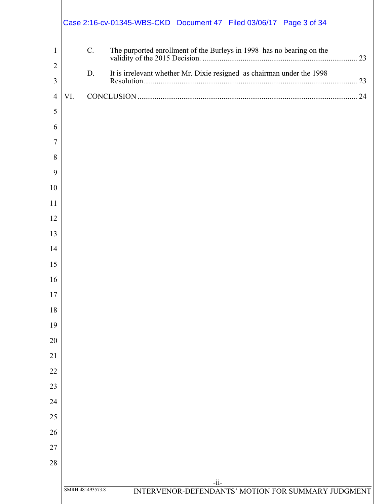|                     | Case 2:16-cv-01345-WBS-CKD  Document 47  Filed 03/06/17  Page 3 of 34            |  |
|---------------------|----------------------------------------------------------------------------------|--|
| 1                   | C.                                                                               |  |
| $\overline{2}$<br>3 | It is irrelevant whether Mr. Dixie resigned as chairman under the 1998<br>D.     |  |
| $\overline{4}$      | VI.                                                                              |  |
| 5                   |                                                                                  |  |
| 6                   |                                                                                  |  |
| 7                   |                                                                                  |  |
| 8                   |                                                                                  |  |
| 9                   |                                                                                  |  |
| 10                  |                                                                                  |  |
| 11                  |                                                                                  |  |
| 12                  |                                                                                  |  |
| 13                  |                                                                                  |  |
| 14                  |                                                                                  |  |
| 15                  |                                                                                  |  |
| 16                  |                                                                                  |  |
| 17                  |                                                                                  |  |
| 18                  |                                                                                  |  |
| 19                  |                                                                                  |  |
| 20                  |                                                                                  |  |
| 21                  |                                                                                  |  |
| 22                  |                                                                                  |  |
| 23                  |                                                                                  |  |
| 24                  |                                                                                  |  |
| 25                  |                                                                                  |  |
| 26                  |                                                                                  |  |
| 27                  |                                                                                  |  |
| 28                  |                                                                                  |  |
|                     | $-ii-$<br>SMRH:481493573.8<br>INTERVENOR-DEFENDANTS' MOTION FOR SUMMARY JUDGMENT |  |
|                     |                                                                                  |  |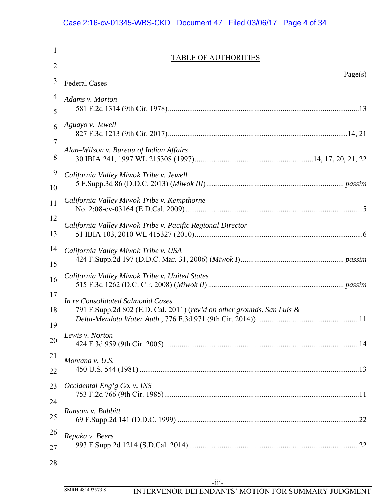|                | Case 2:16-cv-01345-WBS-CKD Document 47    Filed 03/06/17    Page 4 of 34                                    |
|----------------|-------------------------------------------------------------------------------------------------------------|
| $\overline{2}$ | <b>TABLE OF AUTHORITIES</b>                                                                                 |
| 3              | Page(s)<br>Federal Cases                                                                                    |
| $\overline{4}$ | Adams v. Morton                                                                                             |
| 5              |                                                                                                             |
| 6<br>7         | Aguayo v. Jewell                                                                                            |
| 8              | Alan-Wilson v. Bureau of Indian Affairs                                                                     |
| 9<br>10        | California Valley Miwok Tribe v. Jewell                                                                     |
| 11             | California Valley Miwok Tribe v. Kempthorne                                                                 |
| 12<br>13       | California Valley Miwok Tribe v. Pacific Regional Director                                                  |
| 14<br>15       | California Valley Miwok Tribe v. USA                                                                        |
| 16             | California Valley Miwok Tribe v. United States                                                              |
| 17<br>18<br>19 | In re Consolidated Salmonid Cases<br>791 F.Supp.2d 802 (E.D. Cal. 2011) (rev'd on other grounds, San Luis & |
| 20             | Lewis v. Norton                                                                                             |
| 21<br>22       | Montana v. U.S.                                                                                             |
| 23<br>24       | Occidental Eng'g Co. v. INS                                                                                 |
| 25             | Ransom v. Babbitt                                                                                           |
| 26<br>27<br>28 | Repaka v. Beers                                                                                             |
|                |                                                                                                             |
|                | $-111-$<br>SMRH:481493573.8<br>INTERVENOR-DEFENDANTS' MOTION FOR SUMMARY JUDGMENT                           |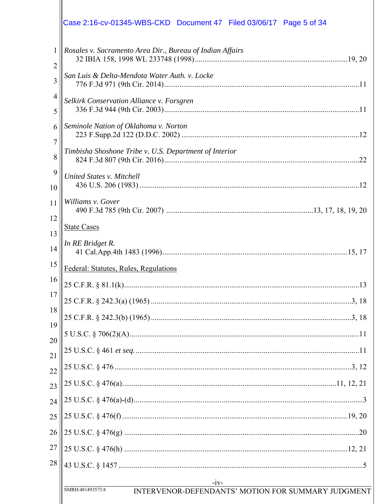|                     | Case 2:16-cv-01345-WBS-CKD  Document 47  Filed 03/06/17  Page 5 of 34            |
|---------------------|----------------------------------------------------------------------------------|
|                     |                                                                                  |
| $\mathbf{1}$<br>2   | Rosales v. Sacramento Area Dir., Bureau of Indian Affairs                        |
| 3                   | San Luis & Delta-Mendota Water Auth. v. Locke                                    |
| $\overline{4}$<br>5 | Selkirk Conservation Alliance v. Forsgren                                        |
| 6                   | Seminole Nation of Oklahoma v. Norton                                            |
| 7<br>8              | Timbisha Shoshone Tribe v. U.S. Department of Interior                           |
| 9<br>10             | United States v. Mitchell                                                        |
| 11                  | Williams v. Gover                                                                |
| 12<br>13            | <b>State Cases</b>                                                               |
| 14                  | In RE Bridget R.                                                                 |
| 15                  | Federal: Statutes, Rules, Regulations                                            |
| 16                  | 13                                                                               |
| 17 <sup>17</sup>    |                                                                                  |
| 18<br>19            |                                                                                  |
| 20                  |                                                                                  |
| 21                  |                                                                                  |
| $\overline{22}$     |                                                                                  |
| 23                  |                                                                                  |
| 24                  |                                                                                  |
| 25                  |                                                                                  |
| 26                  |                                                                                  |
| 27                  |                                                                                  |
| 28                  |                                                                                  |
|                     | $-iv-$<br>INTERVENOR-DEFENDANTS' MOTION FOR SUMMARY JUDGMENT<br>SMRH:481493573.8 |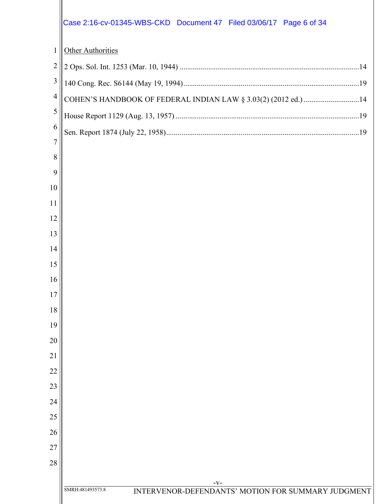|                | Case 2:16-cv-01345-WBS-CKD  Document 47  Filed 03/06/17  Page 6 of 34  |
|----------------|------------------------------------------------------------------------|
| $\mathbf{1}$   | <b>Other Authorities</b>                                               |
| $\overline{2}$ |                                                                        |
| 3              |                                                                        |
| $\overline{4}$ | COHEN'S HANDBOOK OF FEDERAL INDIAN LAW § 3.03(2) (2012 ed.) 14         |
| 5              |                                                                        |
| 6              |                                                                        |
| $\overline{7}$ |                                                                        |
| 8<br>9         |                                                                        |
| 10             |                                                                        |
| 11             |                                                                        |
| 12             |                                                                        |
| 13             |                                                                        |
| 14             |                                                                        |
| 15             |                                                                        |
| 16             |                                                                        |
| 17             |                                                                        |
| 18             |                                                                        |
| 19             |                                                                        |
| 20             |                                                                        |
| 21             |                                                                        |
| 22             |                                                                        |
| 23<br>24       |                                                                        |
| 25             |                                                                        |
| 26             |                                                                        |
| 27             |                                                                        |
| 28             |                                                                        |
|                | $-V-$                                                                  |
|                | SMRH:481493573.8<br>INTERVENOR-DEFENDANTS' MOTION FOR SUMMARY JUDGMENT |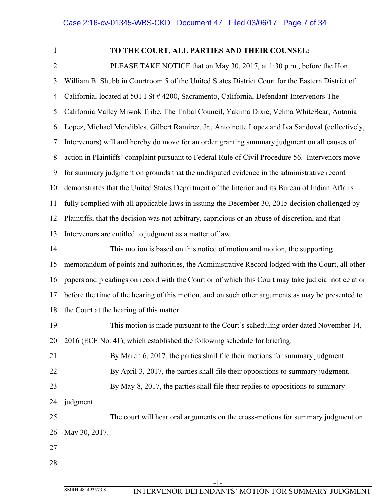1

# **TO THE COURT, ALL PARTIES AND THEIR COUNSEL:**

2 3 4 5 6 7 8 9 10 11 12 13 PLEASE TAKE NOTICE that on May 30, 2017, at 1:30 p.m., before the Hon. William B. Shubb in Courtroom 5 of the United States District Court for the Eastern District of California, located at 501 I St # 4200, Sacramento, California, Defendant-Intervenors The California Valley Miwok Tribe, The Tribal Council, Yakima Dixie, Velma WhiteBear, Antonia Lopez, Michael Mendibles, Gilbert Ramirez, Jr., Antoinette Lopez and Iva Sandoval (collectively, Intervenors) will and hereby do move for an order granting summary judgment on all causes of action in Plaintiffs' complaint pursuant to Federal Rule of Civil Procedure 56. Intervenors move for summary judgment on grounds that the undisputed evidence in the administrative record demonstrates that the United States Department of the Interior and its Bureau of Indian Affairs fully complied with all applicable laws in issuing the December 30, 2015 decision challenged by Plaintiffs, that the decision was not arbitrary, capricious or an abuse of discretion, and that Intervenors are entitled to judgment as a matter of law.

14 15 16 17 18 This motion is based on this notice of motion and motion, the supporting memorandum of points and authorities, the Administrative Record lodged with the Court, all other papers and pleadings on record with the Court or of which this Court may take judicial notice at or before the time of the hearing of this motion, and on such other arguments as may be presented to the Court at the hearing of this matter.

19 20 This motion is made pursuant to the Court's scheduling order dated November 14, 2016 (ECF No. 41), which established the following schedule for briefing:

21 22 23 By March 6, 2017, the parties shall file their motions for summary judgment. By April 3, 2017, the parties shall file their oppositions to summary judgment. By May 8, 2017, the parties shall file their replies to oppositions to summary

24 judgment.

25 26 The court will hear oral arguments on the cross-motions for summary judgment on May 30, 2017.

27

28

-1-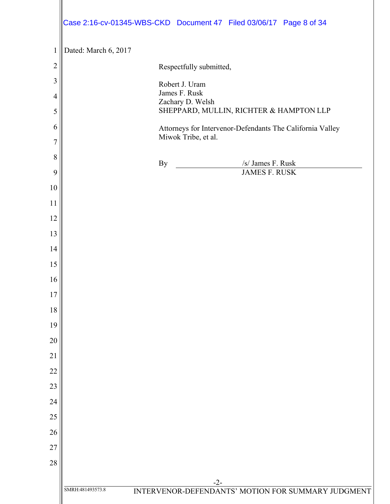|                     |                      |                                   | Case 2:16-cv-01345-WBS-CKD  Document 47  Filed 03/06/17  Page 8 of 34 |  |
|---------------------|----------------------|-----------------------------------|-----------------------------------------------------------------------|--|
| $\mathbf{1}$        | Dated: March 6, 2017 |                                   |                                                                       |  |
| $\overline{c}$      |                      | Respectfully submitted,           |                                                                       |  |
| 3                   |                      | Robert J. Uram                    |                                                                       |  |
| $\overline{4}$<br>5 |                      | James F. Rusk<br>Zachary D. Welsh | SHEPPARD, MULLIN, RICHTER & HAMPTON LLP                               |  |
| 6                   |                      | Miwok Tribe, et al.               | Attorneys for Intervenor-Defendants The California Valley             |  |
| $\overline{7}$      |                      |                                   |                                                                       |  |
| 8                   |                      | By                                | /s/ James F. Rusk                                                     |  |
| 9                   |                      |                                   | <b>JAMES F. RUSK</b>                                                  |  |
| 10                  |                      |                                   |                                                                       |  |
| 11<br>12            |                      |                                   |                                                                       |  |
| 13                  |                      |                                   |                                                                       |  |
| 14                  |                      |                                   |                                                                       |  |
| 15                  |                      |                                   |                                                                       |  |
| 16                  |                      |                                   |                                                                       |  |
| 17                  |                      |                                   |                                                                       |  |
| 18                  |                      |                                   |                                                                       |  |
| 19                  |                      |                                   |                                                                       |  |
| 20                  |                      |                                   |                                                                       |  |
| 21                  |                      |                                   |                                                                       |  |
| 22                  |                      |                                   |                                                                       |  |
| 23                  |                      |                                   |                                                                       |  |
| 24                  |                      |                                   |                                                                       |  |
| 25                  |                      |                                   |                                                                       |  |
| 26                  |                      |                                   |                                                                       |  |
| 27                  |                      |                                   |                                                                       |  |
| 28                  |                      |                                   |                                                                       |  |
|                     | SMRH:481493573.8     |                                   | $-2-$<br>INTERVENOR-DEFENDANTS' MOTION FOR SUMMARY JUDGMENT           |  |
|                     |                      |                                   |                                                                       |  |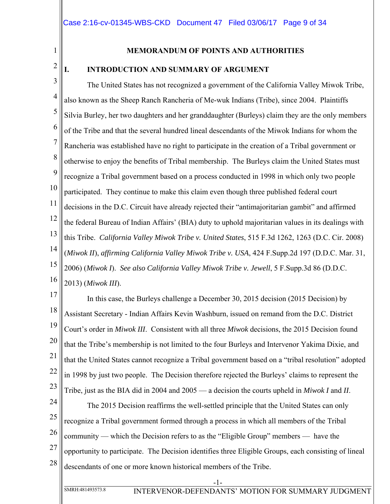1

### **MEMORANDUM OF POINTS AND AUTHORITIES**

# 2

# **I. INTRODUCTION AND SUMMARY OF ARGUMENT**

3 4 5 6 7 8 9 10 11 12 13 14 15 16 The United States has not recognized a government of the California Valley Miwok Tribe, also known as the Sheep Ranch Rancheria of Me-wuk Indians (Tribe), since 2004. Plaintiffs Silvia Burley, her two daughters and her granddaughter (Burleys) claim they are the only members of the Tribe and that the several hundred lineal descendants of the Miwok Indians for whom the Rancheria was established have no right to participate in the creation of a Tribal government or otherwise to enjoy the benefits of Tribal membership. The Burleys claim the United States must recognize a Tribal government based on a process conducted in 1998 in which only two people participated. They continue to make this claim even though three published federal court decisions in the D.C. Circuit have already rejected their "antimajoritarian gambit" and affirmed the federal Bureau of Indian Affairs' (BIA) duty to uphold majoritarian values in its dealings with this Tribe. *California Valley Miwok Tribe v. United States*, 515 F.3d 1262, 1263 (D.C. Cir. 2008) (*Miwok II*), *affirming California Valley Miwok Tribe v. USA*, 424 F.Supp.2d 197 (D.D.C. Mar. 31, 2006) (*Miwok I*). *See also California Valley Miwok Tribe v. Jewell*, 5 F.Supp.3d 86 (D.D.C. 2013) (*Miwok III*).

17 18 19 20 21 22 23 In this case, the Burleys challenge a December 30, 2015 decision (2015 Decision) by Assistant Secretary - Indian Affairs Kevin Washburn, issued on remand from the D.C. District Court's order in *Miwok III*.Consistent with all three *Miwok* decisions, the 2015 Decision found that the Tribe's membership is not limited to the four Burleys and Intervenor Yakima Dixie, and that the United States cannot recognize a Tribal government based on a "tribal resolution" adopted in 1998 by just two people. The Decision therefore rejected the Burleys' claims to represent the Tribe, just as the BIA did in 2004 and 2005 — a decision the courts upheld in *Miwok I* and *II*.

24 25 26 27 28 The 2015 Decision reaffirms the well-settled principle that the United States can only recognize a Tribal government formed through a process in which all members of the Tribal community — which the Decision refers to as the "Eligible Group" members — have the opportunity to participate. The Decision identifies three Eligible Groups, each consisting of lineal descendants of one or more known historical members of the Tribe.

-1-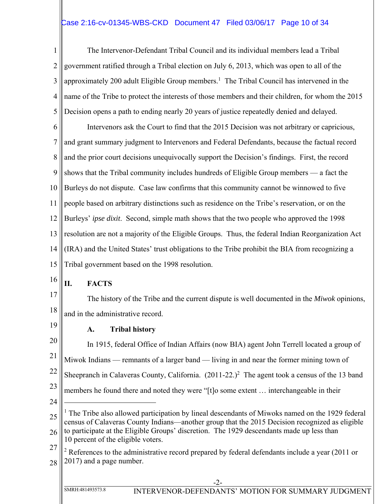# Case 2:16-cv-01345-WBS-CKD Document 47 Filed 03/06/17 Page 10 of 34

1 2 3 4 5 The Intervenor-Defendant Tribal Council and its individual members lead a Tribal government ratified through a Tribal election on July 6, 2013, which was open to all of the approximately 200 adult Eligible Group members.<sup>1</sup> The Tribal Council has intervened in the name of the Tribe to protect the interests of those members and their children, for whom the 2015 Decision opens a path to ending nearly 20 years of justice repeatedly denied and delayed.

6 7 8 9 10 11 12 13 14 15 Intervenors ask the Court to find that the 2015 Decision was not arbitrary or capricious, and grant summary judgment to Intervenors and Federal Defendants, because the factual record and the prior court decisions unequivocally support the Decision's findings. First, the record shows that the Tribal community includes hundreds of Eligible Group members — a fact the Burleys do not dispute. Case law confirms that this community cannot be winnowed to five people based on arbitrary distinctions such as residence on the Tribe's reservation, or on the Burleys' *ipse dixit*. Second, simple math shows that the two people who approved the 1998 resolution are not a majority of the Eligible Groups. Thus, the federal Indian Reorganization Act (IRA) and the United States' trust obligations to the Tribe prohibit the BIA from recognizing a Tribal government based on the 1998 resolution.

**II. FACTS** 

17 18 The history of the Tribe and the current dispute is well documented in the *Miwok* opinions, and in the administrative record.

19

16

# **A. Tribal history**

20 21 22 23 24 25 In 1915, federal Office of Indian Affairs (now BIA) agent John Terrell located a group of Miwok Indians — remnants of a larger band — living in and near the former mining town of Sheepranch in Calaveras County, California.  $(2011-22.)^2$  The agent took a census of the 13 band members he found there and noted they were "[t]o some extent … interchangeable in their  $\overline{a}$ <sup>1</sup> The Tribe also allowed participation by lineal descendants of Miwoks named on the 1929 federal census of Calaveras County Indians—another group that the 2015 Decision recognized as eligible

- 26 to participate at the Eligible Groups' discretion. The 1929 descendants made up less than 10 percent of the eligible voters.
- 27 28  $2$  References to the administrative record prepared by federal defendants include a year (2011 or 2017) and a page number.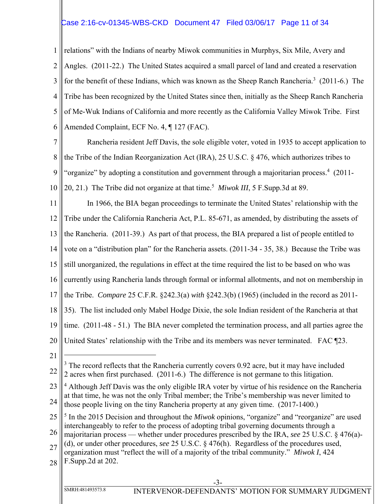# Case 2:16-cv-01345-WBS-CKD Document 47 Filed 03/06/17 Page 11 of 34

1 2 3 4 5 6 relations" with the Indians of nearby Miwok communities in Murphys, Six Mile, Avery and Angles. (2011-22.) The United States acquired a small parcel of land and created a reservation for the benefit of these Indians, which was known as the Sheep Ranch Rancheria.<sup>3</sup> (2011-6.) The Tribe has been recognized by the United States since then, initially as the Sheep Ranch Rancheria of Me-Wuk Indians of California and more recently as the California Valley Miwok Tribe. First Amended Complaint, ECF No. 4, ¶ 127 (FAC).

7 8 9 10 Rancheria resident Jeff Davis, the sole eligible voter, voted in 1935 to accept application to the Tribe of the Indian Reorganization Act (IRA), 25 U.S.C. § 476, which authorizes tribes to "organize" by adopting a constitution and government through a majoritarian process.<sup>4</sup> (2011-20, 21.) The Tribe did not organize at that time.<sup>5</sup> Miwok III, 5 F.Supp.3d at 89.

11 12 13 14 15 16 17 18 19 20 21 In 1966, the BIA began proceedings to terminate the United States' relationship with the Tribe under the California Rancheria Act, P.L. 85-671, as amended, by distributing the assets of the Rancheria. (2011-39.) As part of that process, the BIA prepared a list of people entitled to vote on a "distribution plan" for the Rancheria assets. (2011-34 - 35, 38.) Because the Tribe was still unorganized, the regulations in effect at the time required the list to be based on who was currently using Rancheria lands through formal or informal allotments, and not on membership in the Tribe. *Compare* 25 C.F.R. §242.3(a) *with* §242.3(b) (1965) (included in the record as 2011- 35). The list included only Mabel Hodge Dixie, the sole Indian resident of the Rancheria at that time. (2011-48 - 51.) The BIA never completed the termination process, and all parties agree the United States' relationship with the Tribe and its members was never terminated. FAC ¶23.  $\overline{a}$ 

<sup>22</sup>  $3$  The record reflects that the Rancheria currently covers 0.92 acre, but it may have included 2 acres when first purchased. (2011-6.) The difference is not germane to this litigation.

<sup>23</sup> 24 <sup>4</sup> Although Jeff Davis was the only eligible IRA voter by virtue of his residence on the Rancheria at that time, he was not the only Tribal member; the Tribe's membership was never limited to those people living on the tiny Rancheria property at any given time. (2017-1400.)

<sup>25</sup> 26 <sup>5</sup> In the 2015 Decision and throughout the *Miwok* opinions, "organize" and "reorganize" are used interchangeably to refer to the process of adopting tribal governing documents through a

majoritarian process — whether under procedures prescribed by the IRA, *see* 25 U.S.C. § 476(a)- (d), or under other procedures, *see* 25 U.S.C. § 476(h). Regardless of the procedures used,

<sup>27</sup> 28 organization must "reflect the will of a majority of the tribal community." *Miwok I*, 424 F.Supp.2d at 202.

SMRH:481493573.8 INTERVENOR-DEFENDANTS' MOTION FOR SUMMARY JUDGMENT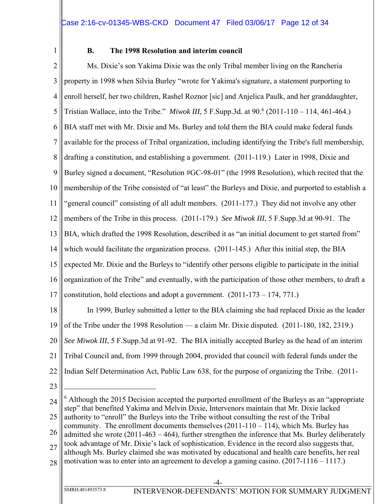1

### **B. The 1998 Resolution and interim council**

2 3 4 5 6 7 8 9 10 11 12 13 14 15 16 17 18 Ms. Dixie's son Yakima Dixie was the only Tribal member living on the Rancheria property in 1998 when Silvia Burley "wrote for Yakima's signature, a statement purporting to enroll herself, her two children, Rashel Roznor [sic] and Anjelica Paulk, and her granddaughter, Tristian Wallace, into the Tribe." *Miwok III*, 5 F.Supp.3d*.* at 90.6 (2011-110 – 114, 461-464.) BIA staff met with Mr. Dixie and Ms. Burley and told them the BIA could make federal funds available for the process of Tribal organization, including identifying the Tribe's full membership, drafting a constitution, and establishing a government. (2011-119.) Later in 1998, Dixie and Burley signed a document, "Resolution #GC-98-01" (the 1998 Resolution), which recited that the membership of the Tribe consisted of "at least" the Burleys and Dixie, and purported to establish a "general council" consisting of all adult members. (2011-177.) They did not involve any other members of the Tribe in this process. (2011-179.) *See Miwok III*, 5 F.Supp.3d at 90-91. The BIA, which drafted the 1998 Resolution, described it as "an initial document to get started from" which would facilitate the organization process. (2011-145.) After this initial step, the BIA expected Mr. Dixie and the Burleys to "identify other persons eligible to participate in the initial organization of the Tribe" and eventually, with the participation of those other members, to draft a constitution, hold elections and adopt a government. (2011-173 – 174, 771.) In 1999, Burley submitted a letter to the BIA claiming she had replaced Dixie as the leader

19 of the Tribe under the 1998 Resolution — a claim Mr. Dixie disputed. (2011-180, 182, 2319.)

20 *See Miwok III*, 5 F.Supp.3d at 91-92. The BIA initially accepted Burley as the head of an interim

21 Tribal Council and, from 1999 through 2004, provided that council with federal funds under the

- 22 Indian Self Determination Act, Public Law 638, for the purpose of organizing the Tribe. (2011-
- 23

 $\overline{a}$ 

27 28 although Ms. Burley claimed she was motivated by educational and health care benefits, her real motivation was to enter into an agreement to develop a gaming casino. (2017-1116 – 1117.)

SMRH:481493573.8 INTERVENOR-DEFENDANTS' MOTION FOR SUMMARY JUDGMENT

<sup>24</sup> 25 26  $6$  Although the 2015 Decision accepted the purported enrollment of the Burleys as an "appropriate" step" that benefited Yakima and Melvin Dixie, Intervenors maintain that Mr. Dixie lacked authority to "enroll" the Burleys into the Tribe without consulting the rest of the Tribal community. The enrollment documents themselves  $(2011-110-114)$ , which Ms. Burley has admitted she wrote (2011-463 – 464), further strengthen the inference that Ms. Burley deliberately took advantage of Mr. Dixie's lack of sophistication. Evidence in the record also suggests that,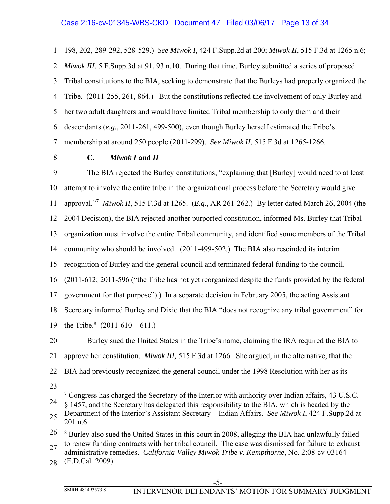### Case 2:16-cv-01345-WBS-CKD Document 47 Filed 03/06/17 Page 13 of 34

1 2 3 4 5 6 7 198, 202, 289-292, 528-529.) *See Miwok I*, 424 F.Supp.2d at 200; *Miwok II*, 515 F.3d at 1265 n.6; *Miwok III*, 5 F.Supp.3d at 91, 93 n.10. During that time, Burley submitted a series of proposed Tribal constitutions to the BIA, seeking to demonstrate that the Burleys had properly organized the Tribe. (2011-255, 261, 864.) But the constitutions reflected the involvement of only Burley and her two adult daughters and would have limited Tribal membership to only them and their descendants (*e.g.*, 2011-261, 499-500), even though Burley herself estimated the Tribe's membership at around 250 people (2011-299). *See Miwok II*, 515 F.3d at 1265-1266.

8

# **C.** *Miwok I* **and** *II*

9 10 11 12 13 14 15 16 17 18 19 The BIA rejected the Burley constitutions, "explaining that [Burley] would need to at least attempt to involve the entire tribe in the organizational process before the Secretary would give approval."7 *Miwok II*, 515 F.3d at 1265. (*E.g.*, AR 261-262.) By letter dated March 26, 2004 (the 2004 Decision), the BIA rejected another purported constitution, informed Ms. Burley that Tribal organization must involve the entire Tribal community, and identified some members of the Tribal community who should be involved. (2011-499-502.) The BIA also rescinded its interim recognition of Burley and the general council and terminated federal funding to the council. (2011-612; 2011-596 ("the Tribe has not yet reorganized despite the funds provided by the federal government for that purpose").) In a separate decision in February 2005, the acting Assistant Secretary informed Burley and Dixie that the BIA "does not recognize any tribal government" for the Tribe.<sup>8</sup>  $(2011-610-611.)$ 

20 21 22 Burley sued the United States in the Tribe's name, claiming the IRA required the BIA to approve her constitution. *Miwok III,* 515 F.3d at 1266. She argued, in the alternative, that the BIA had previously recognized the general council under the 1998 Resolution with her as its

23

 $\overline{a}$ 

24 25  $7$  Congress has charged the Secretary of the Interior with authority over Indian affairs, 43 U.S.C. § 1457, and the Secretary has delegated this responsibility to the BIA, which is headed by the Department of the Interior's Assistant Secretary – Indian Affairs. *See Miwok I*, 424 F.Supp.2d at 201 n.6.

26 27 28 <sup>8</sup> Burley also sued the United States in this court in 2008, alleging the BIA had unlawfully failed to renew funding contracts with her tribal council. The case was dismissed for failure to exhaust administrative remedies. *California Valley Miwok Tribe v. Kempthorne*, No. 2:08-cv-03164 (E.D.Cal. 2009).

SMRH:481493573.8 INTERVENOR-DEFENDANTS' MOTION FOR SUMMARY JUDGMENT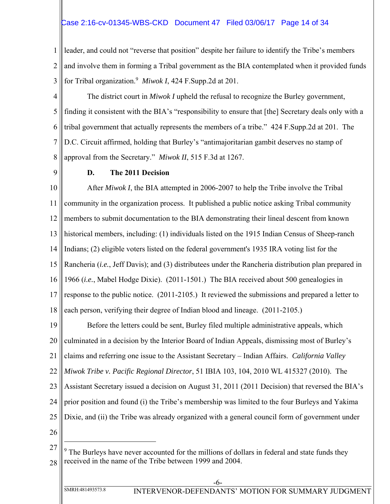# Case 2:16-cv-01345-WBS-CKD Document 47 Filed 03/06/17 Page 14 of 34

1 2 3 leader, and could not "reverse that position" despite her failure to identify the Tribe's members and involve them in forming a Tribal government as the BIA contemplated when it provided funds for Tribal organization.9 *Miwok I*, 424 F.Supp.2d at 201.

4 5 6 7 8 The district court in *Miwok I* upheld the refusal to recognize the Burley government, finding it consistent with the BIA's "responsibility to ensure that [the] Secretary deals only with a tribal government that actually represents the members of a tribe." 424 F.Supp.2d at 201. The D.C. Circuit affirmed, holding that Burley's "antimajoritarian gambit deserves no stamp of approval from the Secretary." *Miwok II*, 515 F.3d at 1267.

9

### **D. The 2011 Decision**

10 11 12 13 14 15 16 17 18 After *Miwok I*, the BIA attempted in 2006-2007 to help the Tribe involve the Tribal community in the organization process. It published a public notice asking Tribal community members to submit documentation to the BIA demonstrating their lineal descent from known historical members, including: (1) individuals listed on the 1915 Indian Census of Sheep-ranch Indians; (2) eligible voters listed on the federal government's 1935 IRA voting list for the Rancheria (*i.e.*, Jeff Davis); and (3) distributees under the Rancheria distribution plan prepared in 1966 (*i.e.*, Mabel Hodge Dixie). (2011-1501.) The BIA received about 500 genealogies in response to the public notice. (2011-2105.) It reviewed the submissions and prepared a letter to each person, verifying their degree of Indian blood and lineage. (2011-2105.)

19 20 21 22 23 24 25 26 Before the letters could be sent, Burley filed multiple administrative appeals, which culminated in a decision by the Interior Board of Indian Appeals, dismissing most of Burley's claims and referring one issue to the Assistant Secretary – Indian Affairs. *California Valley Miwok Tribe v. Pacific Regional Director*, 51 IBIA 103, 104, 2010 WL 415327 (2010). The Assistant Secretary issued a decision on August 31, 2011 (2011 Decision) that reversed the BIA's prior position and found (i) the Tribe's membership was limited to the four Burleys and Yakima Dixie, and (ii) the Tribe was already organized with a general council form of government under

27

<sup>28</sup>  $9$  The Burleys have never accounted for the millions of dollars in federal and state funds they received in the name of the Tribe between 1999 and 2004.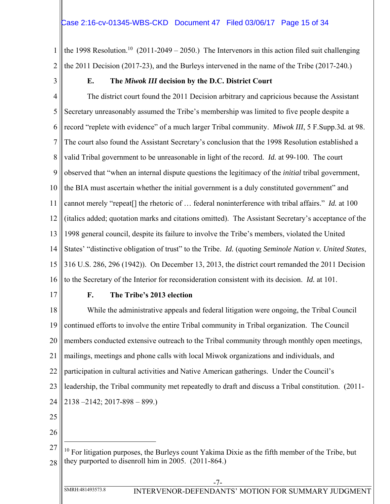1 2 the 1998 Resolution.<sup>10</sup> (2011-2049 – 2050.) The Intervenors in this action filed suit challenging the 2011 Decision (2017-23), and the Burleys intervened in the name of the Tribe (2017-240*.*)

3

# **E. The** *Miwok III* **decision by the D.C. District Court**

4 5 6 7 8 9 10 11 12 13 14 15 16 The district court found the 2011 Decision arbitrary and capricious because the Assistant Secretary unreasonably assumed the Tribe's membership was limited to five people despite a record "replete with evidence" of a much larger Tribal community. *Miwok III*, 5 F.Supp.3d*.* at 98. The court also found the Assistant Secretary's conclusion that the 1998 Resolution established a valid Tribal government to be unreasonable in light of the record. *Id.* at 99-100. The court observed that "when an internal dispute questions the legitimacy of the *initial* tribal government, the BIA must ascertain whether the initial government is a duly constituted government" and cannot merely "repeat[] the rhetoric of … federal noninterference with tribal affairs." *Id.* at 100 (italics added; quotation marks and citations omitted). The Assistant Secretary's acceptance of the 1998 general council, despite its failure to involve the Tribe's members, violated the United States' "distinctive obligation of trust" to the Tribe. *Id.* (quoting *Seminole Nation v. United States*, 316 U.S. 286, 296 (1942)). On December 13, 2013, the district court remanded the 2011 Decision to the Secretary of the Interior for reconsideration consistent with its decision. *Id.* at 101.

17

### **F. The Tribe's 2013 election**

18 19 20 21 22 23 24 While the administrative appeals and federal litigation were ongoing, the Tribal Council continued efforts to involve the entire Tribal community in Tribal organization. The Council members conducted extensive outreach to the Tribal community through monthly open meetings, mailings, meetings and phone calls with local Miwok organizations and individuals, and participation in cultural activities and Native American gatherings. Under the Council's leadership, the Tribal community met repeatedly to draft and discuss a Tribal constitution. (2011- 2138 –2142; 2017-898 – 899.)

25

 $\overline{a}$ 

26

<sup>27</sup> 28  $10$  For litigation purposes, the Burleys count Yakima Dixie as the fifth member of the Tribe, but they purported to disenroll him in 2005. (2011-864.)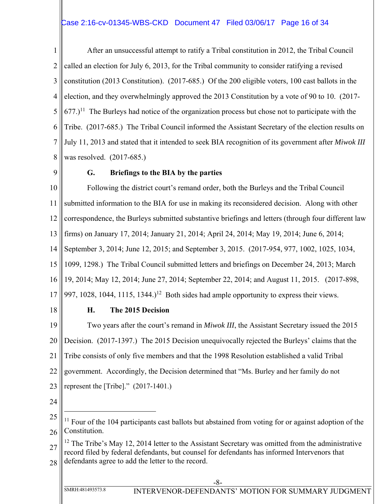# Case 2:16-cv-01345-WBS-CKD Document 47 Filed 03/06/17 Page 16 of 34

1 2 3 4 5 6 7 8 After an unsuccessful attempt to ratify a Tribal constitution in 2012, the Tribal Council called an election for July 6, 2013, for the Tribal community to consider ratifying a revised constitution (2013 Constitution). (2017-685.) Of the 200 eligible voters, 100 cast ballots in the election, and they overwhelmingly approved the 2013 Constitution by a vote of 90 to 10. (2017-  $677$ .)<sup>11</sup> The Burleys had notice of the organization process but chose not to participate with the Tribe. (2017-685.) The Tribal Council informed the Assistant Secretary of the election results on July 11, 2013 and stated that it intended to seek BIA recognition of its government after *Miwok III* was resolved. (2017-685.)

9

### **G. Briefings to the BIA by the parties**

10 11 12 13 14 15 16 17 Following the district court's remand order, both the Burleys and the Tribal Council submitted information to the BIA for use in making its reconsidered decision. Along with other correspondence, the Burleys submitted substantive briefings and letters (through four different law firms) on January 17, 2014; January 21, 2014; April 24, 2014; May 19, 2014; June 6, 2014; September 3, 2014; June 12, 2015; and September 3, 2015. (2017-954, 977, 1002, 1025, 1034, 1099, 1298.) The Tribal Council submitted letters and briefings on December 24, 2013; March 19, 2014; May 12, 2014; June 27, 2014; September 22, 2014; and August 11, 2015. (2017-898, 997, 1028, 1044, 1115, 1344.)<sup>12</sup> Both sides had ample opportunity to express their views.

18

### **H. The 2015 Decision**

19 20 21 22 23 Two years after the court's remand in *Miwok III*, the Assistant Secretary issued the 2015 Decision. (2017-1397.) The 2015 Decision unequivocally rejected the Burleys' claims that the Tribe consists of only five members and that the 1998 Resolution established a valid Tribal government. Accordingly, the Decision determined that "Ms. Burley and her family do not represent the [Tribe]." (2017-1401.)

24

<sup>25</sup> 26 <sup>11</sup> Four of the 104 participants cast ballots but abstained from voting for or against adoption of the Constitution.

<sup>27</sup> 28 <sup>12</sup> The Tribe's May 12, 2014 letter to the Assistant Secretary was omitted from the administrative record filed by federal defendants, but counsel for defendants has informed Intervenors that defendants agree to add the letter to the record.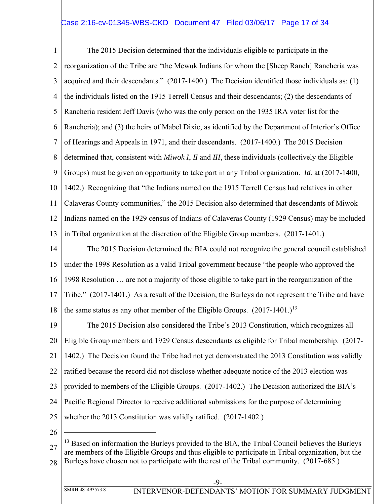# Case 2:16-cv-01345-WBS-CKD Document 47 Filed 03/06/17 Page 17 of 34

1 2 3 4 5 6 7 8 9 10 11 12 13 The 2015 Decision determined that the individuals eligible to participate in the reorganization of the Tribe are "the Mewuk Indians for whom the [Sheep Ranch] Rancheria was acquired and their descendants." (2017-1400.) The Decision identified those individuals as: (1) the individuals listed on the 1915 Terrell Census and their descendants; (2) the descendants of Rancheria resident Jeff Davis (who was the only person on the 1935 IRA voter list for the Rancheria); and (3) the heirs of Mabel Dixie, as identified by the Department of Interior's Office of Hearings and Appeals in 1971, and their descendants. (2017-1400.) The 2015 Decision determined that, consistent with *Miwok I*, *II* and *III*, these individuals (collectively the Eligible Groups) must be given an opportunity to take part in any Tribal organization. *Id.* at (2017-1400, 1402.) Recognizing that "the Indians named on the 1915 Terrell Census had relatives in other Calaveras County communities," the 2015 Decision also determined that descendants of Miwok Indians named on the 1929 census of Indians of Calaveras County (1929 Census) may be included in Tribal organization at the discretion of the Eligible Group members. (2017-1401.)

14 15 16 17 18 The 2015 Decision determined the BIA could not recognize the general council established under the 1998 Resolution as a valid Tribal government because "the people who approved the 1998 Resolution … are not a majority of those eligible to take part in the reorganization of the Tribe." (2017-1401.) As a result of the Decision, the Burleys do not represent the Tribe and have the same status as any other member of the Eligible Groups.  $(2017-1401.)^{13}$ 

19 20 21 22 23 24 25 The 2015 Decision also considered the Tribe's 2013 Constitution, which recognizes all Eligible Group members and 1929 Census descendants as eligible for Tribal membership. (2017- 1402.) The Decision found the Tribe had not yet demonstrated the 2013 Constitution was validly ratified because the record did not disclose whether adequate notice of the 2013 election was provided to members of the Eligible Groups. (2017-1402.) The Decision authorized the BIA's Pacific Regional Director to receive additional submissions for the purpose of determining whether the 2013 Constitution was validly ratified. (2017-1402.)

26

<sup>27</sup> 28 <sup>13</sup> Based on information the Burleys provided to the BIA, the Tribal Council believes the Burleys are members of the Eligible Groups and thus eligible to participate in Tribal organization, but the Burleys have chosen not to participate with the rest of the Tribal community. (2017-685.)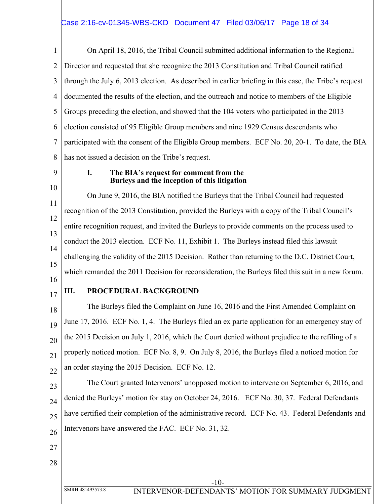1 2 3 4 5 6 7 8 On April 18, 2016, the Tribal Council submitted additional information to the Regional Director and requested that she recognize the 2013 Constitution and Tribal Council ratified through the July 6, 2013 election. As described in earlier briefing in this case, the Tribe's request documented the results of the election, and the outreach and notice to members of the Eligible Groups preceding the election, and showed that the 104 voters who participated in the 2013 election consisted of 95 Eligible Group members and nine 1929 Census descendants who participated with the consent of the Eligible Group members. ECF No. 20, 20-1. To date, the BIA has not issued a decision on the Tribe's request.

9

10

### **I. The BIA's request for comment from the Burleys and the inception of this litigation**

11 12 13 14 15 16 On June 9, 2016, the BIA notified the Burleys that the Tribal Council had requested recognition of the 2013 Constitution, provided the Burleys with a copy of the Tribal Council's entire recognition request, and invited the Burleys to provide comments on the process used to conduct the 2013 election. ECF No. 11, Exhibit 1. The Burleys instead filed this lawsuit challenging the validity of the 2015 Decision. Rather than returning to the D.C. District Court, which remanded the 2011 Decision for reconsideration, the Burleys filed this suit in a new forum.

17

# **III. PROCEDURAL BACKGROUND**

18 19 20 21 22 The Burleys filed the Complaint on June 16, 2016 and the First Amended Complaint on June 17, 2016. ECF No. 1, 4. The Burleys filed an ex parte application for an emergency stay of the 2015 Decision on July 1, 2016, which the Court denied without prejudice to the refiling of a properly noticed motion. ECF No. 8, 9. On July 8, 2016, the Burleys filed a noticed motion for an order staying the 2015 Decision. ECF No. 12.

23

24 25 26 The Court granted Intervenors' unopposed motion to intervene on September 6, 2016, and denied the Burleys' motion for stay on October 24, 2016. ECF No. 30, 37. Federal Defendants have certified their completion of the administrative record. ECF No. 43. Federal Defendants and Intervenors have answered the FAC. ECF No. 31, 32.

- 27
- 28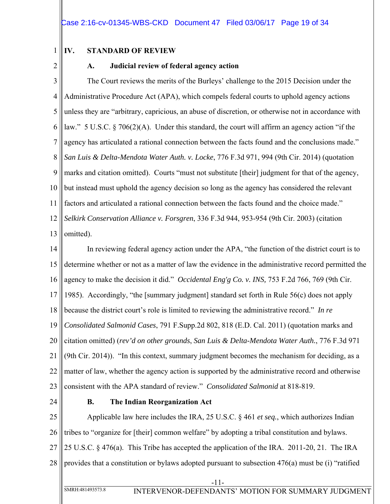### **IV. STANDARD OF REVIEW**

2

1

# **A. Judicial review of federal agency action**

3 4 5 6 7 8 9 10 11 12 13 The Court reviews the merits of the Burleys' challenge to the 2015 Decision under the Administrative Procedure Act (APA), which compels federal courts to uphold agency actions unless they are "arbitrary, capricious, an abuse of discretion, or otherwise not in accordance with law." 5 U.S.C. § 706(2)(A). Under this standard, the court will affirm an agency action "if the agency has articulated a rational connection between the facts found and the conclusions made." *San Luis & Delta-Mendota Water Auth. v. Locke*, 776 F.3d 971, 994 (9th Cir. 2014) (quotation marks and citation omitted). Courts "must not substitute [their] judgment for that of the agency, but instead must uphold the agency decision so long as the agency has considered the relevant factors and articulated a rational connection between the facts found and the choice made." *Selkirk Conservation Alliance v. Forsgren*, 336 F.3d 944, 953-954 (9th Cir. 2003) (citation omitted).

14 15 16 17 18 19 20 21 22 23 In reviewing federal agency action under the APA, "the function of the district court is to determine whether or not as a matter of law the evidence in the administrative record permitted the agency to make the decision it did." *Occidental Eng'g Co. v. INS,* 753 F.2d 766, 769 (9th Cir. 1985). Accordingly, "the [summary judgment] standard set forth in Rule 56(c) does not apply because the district court's role is limited to reviewing the administrative record." *In re Consolidated Salmonid Cases*, 791 F.Supp.2d 802, 818 (E.D. Cal. 2011) (quotation marks and citation omitted) (*rev'd on other grounds*, *San Luis & Delta-Mendota Water Auth.*, 776 F.3d 971 (9th Cir. 2014)). "In this context, summary judgment becomes the mechanism for deciding, as a matter of law, whether the agency action is supported by the administrative record and otherwise consistent with the APA standard of review." *Consolidated Salmonid* at 818-819.

24

### **B. The Indian Reorganization Act**

25 26 27 28 Applicable law here includes the IRA, 25 U.S.C. § 461 *et seq.*, which authorizes Indian tribes to "organize for [their] common welfare" by adopting a tribal constitution and bylaws. 25 U.S.C. § 476(a). This Tribe has accepted the application of the IRA. 2011-20, 21. The IRA provides that a constitution or bylaws adopted pursuant to subsection 476(a) must be (i) "ratified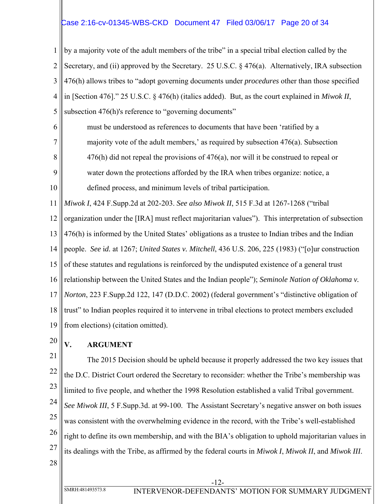# Case 2:16-cv-01345-WBS-CKD Document 47 Filed 03/06/17 Page 20 of 34

1 2 3 4 5 by a majority vote of the adult members of the tribe" in a special tribal election called by the Secretary, and (ii) approved by the Secretary. 25 U.S.C. § 476(a). Alternatively, IRA subsection 476(h) allows tribes to "adopt governing documents under *procedures* other than those specified in [Section 476]." 25 U.S.C. § 476(h) (italics added). But, as the court explained in *Miwok II*, subsection 476(h)'s reference to "governing documents"

6 7 8 9 must be understood as references to documents that have been 'ratified by a majority vote of the adult members,' as required by subsection 476(a). Subsection 476(h) did not repeal the provisions of 476(a), nor will it be construed to repeal or water down the protections afforded by the IRA when tribes organize: notice, a

10 defined process, and minimum levels of tribal participation.

11 *Miwok I*, 424 F.Supp.2d at 202-203. *See also Miwok II*, 515 F.3d at 1267-1268 ("tribal

12 13 14 15 16 17 organization under the [IRA] must reflect majoritarian values"). This interpretation of subsection 476(h) is informed by the United States' obligations as a trustee to Indian tribes and the Indian people. *See* i*d.* at 1267; *United States v. Mitchell*, 436 U.S. 206, 225 (1983) ("[o]ur construction of these statutes and regulations is reinforced by the undisputed existence of a general trust relationship between the United States and the Indian people"); *Seminole Nation of Oklahoma v. Norton*, 223 F.Supp.2d 122, 147 (D.D.C. 2002) (federal government's "distinctive obligation of

18 19 trust" to Indian peoples required it to intervene in tribal elections to protect members excluded from elections) (citation omitted).

20

# **V. ARGUMENT**

21 22 23 24 25 26 27 The 2015 Decision should be upheld because it properly addressed the two key issues that the D.C. District Court ordered the Secretary to reconsider: whether the Tribe's membership was limited to five people, and whether the 1998 Resolution established a valid Tribal government. *See Miwok III*, 5 F.Supp.3d. at 99-100. The Assistant Secretary's negative answer on both issues was consistent with the overwhelming evidence in the record, with the Tribe's well-established right to define its own membership, and with the BIA's obligation to uphold majoritarian values in its dealings with the Tribe, as affirmed by the federal courts in *Miwok I*, *Miwok II*, and *Miwok III*.

28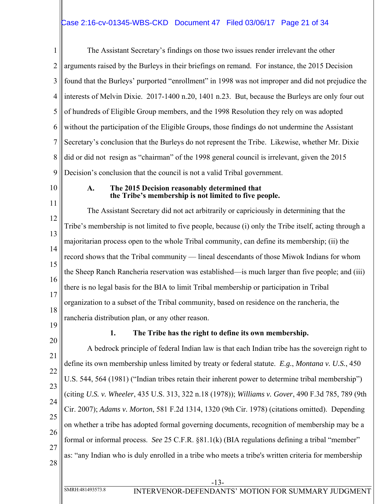# Case 2:16-cv-01345-WBS-CKD Document 47 Filed 03/06/17 Page 21 of 34

1 2 3 4 5 6 7 8 9 The Assistant Secretary's findings on those two issues render irrelevant the other arguments raised by the Burleys in their briefings on remand. For instance, the 2015 Decision found that the Burleys' purported "enrollment" in 1998 was not improper and did not prejudice the interests of Melvin Dixie. 2017-1400 n.20, 1401 n.23. But, because the Burleys are only four out of hundreds of Eligible Group members, and the 1998 Resolution they rely on was adopted without the participation of the Eligible Groups, those findings do not undermine the Assistant Secretary's conclusion that the Burleys do not represent the Tribe. Likewise, whether Mr. Dixie did or did not resign as "chairman" of the 1998 general council is irrelevant, given the 2015 Decision's conclusion that the council is not a valid Tribal government.

10

11

#### **A. The 2015 Decision reasonably determined that the Tribe's membership is not limited to five people.**

12 13 14 15 16 17 18 The Assistant Secretary did not act arbitrarily or capriciously in determining that the Tribe's membership is not limited to five people, because (i) only the Tribe itself, acting through a majoritarian process open to the whole Tribal community, can define its membership; (ii) the record shows that the Tribal community — lineal descendants of those Miwok Indians for whom the Sheep Ranch Rancheria reservation was established—is much larger than five people; and (iii) there is no legal basis for the BIA to limit Tribal membership or participation in Tribal organization to a subset of the Tribal community, based on residence on the rancheria, the rancheria distribution plan, or any other reason.

19

# **1. The Tribe has the right to define its own membership.**

20 21 22 23 24 25 26 27 28 A bedrock principle of federal Indian law is that each Indian tribe has the sovereign right to define its own membership unless limited by treaty or federal statute. *E.g.*, *Montana v. U.S.*, 450 U.S. 544, 564 (1981) ("Indian tribes retain their inherent power to determine tribal membership") (citing *U.S. v. Wheeler*, 435 U.S. 313, 322 n.18 (1978)); *Williams v. Gover*, 490 F.3d 785, 789 (9th Cir. 2007); *Adams v. Morton*, 581 F.2d 1314, 1320 (9th Cir. 1978) (citations omitted). Depending on whether a tribe has adopted formal governing documents, recognition of membership may be a formal or informal process. *See* 25 C.F.R. §81.1(k) (BIA regulations defining a tribal "member" as: "any Indian who is duly enrolled in a tribe who meets a tribe's written criteria for membership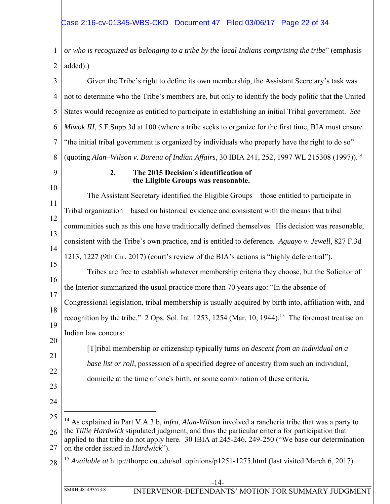1 2 *or who is recognized as belonging to a tribe by the local Indians comprising the tribe*" (emphasis added).)

3 4 5 6 7 8 Given the Tribe's right to define its own membership, the Assistant Secretary's task was not to determine who the Tribe's members are, but only to identify the body politic that the United States would recognize as entitled to participate in establishing an initial Tribal government. *See Miwok III*, 5 F.Supp.3d at 100 (where a tribe seeks to organize for the first time, BIA must ensure "the initial tribal government is organized by individuals who properly have the right to do so" (quoting *Alan–Wilson v. Bureau of Indian Affairs*, 30 IBIA 241, 252, 1997 WL 215308 (1997)).14

9

### **2. The 2015 Decision's identification of the Eligible Groups was reasonable.**

10 11 12 13 14 15 16 17 18 19 20 21 22 23 24 25 26 27 28 -14- SMRH:481493573.8 INTERVENOR-DEFENDANTS' MOTION FOR SUMMARY JUDGMENT The Assistant Secretary identified the Eligible Groups – those entitled to participate in Tribal organization – based on historical evidence and consistent with the means that tribal communities such as this one have traditionally defined themselves. His decision was reasonable, consistent with the Tribe's own practice, and is entitled to deference. *Aguayo v. Jewell*, 827 F.3d 1213, 1227 (9th Cir. 2017) (court's review of the BIA's actions is "highly deferential"). Tribes are free to establish whatever membership criteria they choose, but the Solicitor of the Interior summarized the usual practice more than 70 years ago: "In the absence of Congressional legislation, tribal membership is usually acquired by birth into, affiliation with, and recognition by the tribe." 2 Ops. Sol. Int. 1253, 1254 (Mar. 10, 1944).<sup>15</sup> The foremost treatise on Indian law concurs: [T]ribal membership or citizenship typically turns on *descent from an individual on a base list or roll*, possession of a specified degree of ancestry from such an individual, domicile at the time of one's birth, or some combination of these criteria.  $\overline{a}$ 14 As explained in Part V.A.3.b, *infra*, *Alan-Wilson* involved a rancheria tribe that was a party to the *Tillie Hardwick* stipulated judgment, and thus the particular criteria for participation that applied to that tribe do not apply here. 30 IBIA at 245-246, 249-250 ("We base our determination on the order issued in *Hardwick*"). <sup>15</sup> *Available at* http://thorpe.ou.edu/sol\_opinions/p1251-1275.html (last visited March 6, 2017).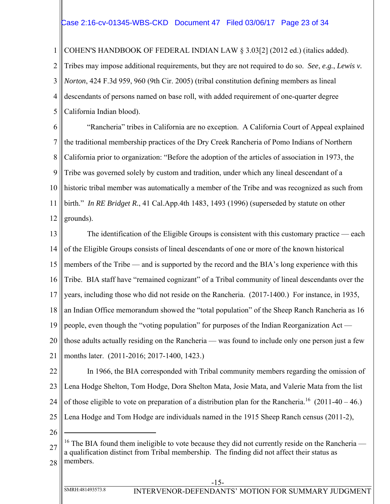### Case 2:16-cv-01345-WBS-CKD Document 47 Filed 03/06/17 Page 23 of 34

1 COHEN'S HANDBOOK OF FEDERAL INDIAN LAW § 3.03[2] (2012 ed.) (italics added).

2 3 4 5 Tribes may impose additional requirements, but they are not required to do so. *See*, *e.g.*, *Lewis v. Norton*, 424 F.3d 959, 960 (9th Cir. 2005) (tribal constitution defining members as lineal descendants of persons named on base roll, with added requirement of one-quarter degree California Indian blood).

6 7 8 9 10 11 12 "Rancheria" tribes in California are no exception. A California Court of Appeal explained the traditional membership practices of the Dry Creek Rancheria of Pomo Indians of Northern California prior to organization: "Before the adoption of the articles of association in 1973, the Tribe was governed solely by custom and tradition, under which any lineal descendant of a historic tribal member was automatically a member of the Tribe and was recognized as such from birth." *In RE Bridget R.*, 41 Cal.App.4th 1483, 1493 (1996) (superseded by statute on other grounds).

13 14 15 16 17 18 19 20 21 The identification of the Eligible Groups is consistent with this customary practice — each of the Eligible Groups consists of lineal descendants of one or more of the known historical members of the Tribe — and is supported by the record and the BIA's long experience with this Tribe. BIA staff have "remained cognizant" of a Tribal community of lineal descendants over the years, including those who did not reside on the Rancheria. (2017-1400.) For instance, in 1935, an Indian Office memorandum showed the "total population" of the Sheep Ranch Rancheria as 16 people, even though the "voting population" for purposes of the Indian Reorganization Act those adults actually residing on the Rancheria — was found to include only one person just a few months later. (2011-2016; 2017-1400, 1423.)

22 23 24 25 In 1966, the BIA corresponded with Tribal community members regarding the omission of Lena Hodge Shelton, Tom Hodge, Dora Shelton Mata, Josie Mata, and Valerie Mata from the list of those eligible to vote on preparation of a distribution plan for the Rancheria.<sup>16</sup> (2011-40 – 46.) Lena Hodge and Tom Hodge are individuals named in the 1915 Sheep Ranch census (2011-2),

26

<sup>27</sup> 28 <sup>16</sup> The BIA found them ineligible to vote because they did not currently reside on the Rancheria a qualification distinct from Tribal membership. The finding did not affect their status as members.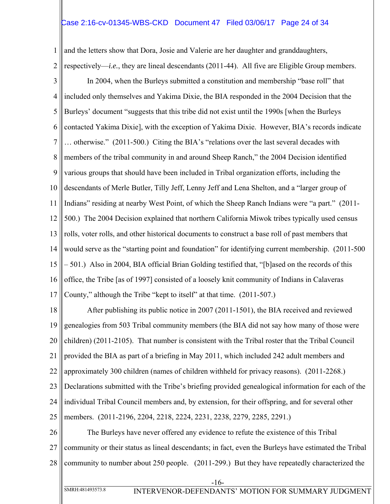### Case 2:16-cv-01345-WBS-CKD Document 47 Filed 03/06/17 Page 24 of 34

1 and the letters show that Dora, Josie and Valerie are her daughter and granddaughters,

2 respectively—*i.e.*, they are lineal descendants (2011-44). All five are Eligible Group members.

3 4 5 6 7 8 9 10 11 12 13 14 15 16 17 In 2004, when the Burleys submitted a constitution and membership "base roll" that included only themselves and Yakima Dixie, the BIA responded in the 2004 Decision that the Burleys' document "suggests that this tribe did not exist until the 1990s [when the Burleys contacted Yakima Dixie], with the exception of Yakima Dixie. However, BIA's records indicate … otherwise." (2011-500.) Citing the BIA's "relations over the last several decades with members of the tribal community in and around Sheep Ranch," the 2004 Decision identified various groups that should have been included in Tribal organization efforts, including the descendants of Merle Butler, Tilly Jeff, Lenny Jeff and Lena Shelton, and a "larger group of Indians" residing at nearby West Point, of which the Sheep Ranch Indians were "a part." (2011- 500.) The 2004 Decision explained that northern California Miwok tribes typically used census rolls, voter rolls, and other historical documents to construct a base roll of past members that would serve as the "starting point and foundation" for identifying current membership. (2011-500 – 501.) Also in 2004, BIA official Brian Golding testified that, "[b]ased on the records of this office, the Tribe [as of 1997] consisted of a loosely knit community of Indians in Calaveras County," although the Tribe "kept to itself" at that time. (2011-507.)

18 19 20 21 22 23 24 25 After publishing its public notice in 2007 (2011-1501), the BIA received and reviewed genealogies from 503 Tribal community members (the BIA did not say how many of those were children) (2011-2105). That number is consistent with the Tribal roster that the Tribal Council provided the BIA as part of a briefing in May 2011, which included 242 adult members and approximately 300 children (names of children withheld for privacy reasons). (2011-2268.) Declarations submitted with the Tribe's briefing provided genealogical information for each of the individual Tribal Council members and, by extension, for their offspring, and for several other members. (2011-2196, 2204, 2218, 2224, 2231, 2238, 2279, 2285, 2291.)

26 27 28 The Burleys have never offered any evidence to refute the existence of this Tribal community or their status as lineal descendants; in fact, even the Burleys have estimated the Tribal community to number about 250 people. (2011-299.) But they have repeatedly characterized the

SMRH:481493573.8 INTERVENOR-DEFENDANTS' MOTION FOR SUMMARY JUDGMENT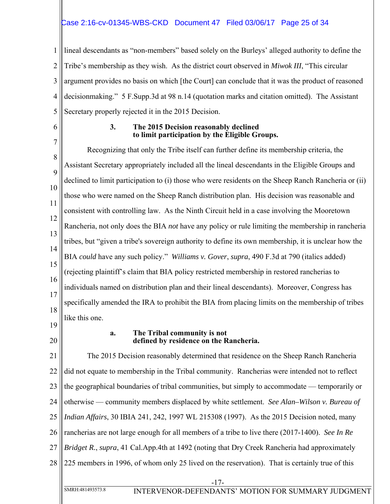# Case 2:16-cv-01345-WBS-CKD Document 47 Filed 03/06/17 Page 25 of 34

1 2 3 4 5 lineal descendants as "non-members" based solely on the Burleys' alleged authority to define the Tribe's membership as they wish. As the district court observed in *Miwok III*, "This circular argument provides no basis on which [the Court] can conclude that it was the product of reasoned decisionmaking." 5 F.Supp.3d at 98 n.14 (quotation marks and citation omitted). The Assistant Secretary properly rejected it in the 2015 Decision.

6

7

#### **3. The 2015 Decision reasonably declined to limit participation by the Eligible Groups.**

8 9 10 11 12 13 14 15 16 17 18 Recognizing that only the Tribe itself can further define its membership criteria, the Assistant Secretary appropriately included all the lineal descendants in the Eligible Groups and declined to limit participation to (i) those who were residents on the Sheep Ranch Rancheria or (ii) those who were named on the Sheep Ranch distribution plan. His decision was reasonable and consistent with controlling law. As the Ninth Circuit held in a case involving the Mooretown Rancheria, not only does the BIA *not* have any policy or rule limiting the membership in rancheria tribes, but "given a tribe's sovereign authority to define its own membership, it is unclear how the BIA *could* have any such policy." *Williams v. Gover*, *supra*, 490 F.3d at 790 (italics added) (rejecting plaintiff's claim that BIA policy restricted membership in restored rancherias to individuals named on distribution plan and their lineal descendants). Moreover, Congress has specifically amended the IRA to prohibit the BIA from placing limits on the membership of tribes like this one.

- 19
- 20

#### **a. The Tribal community is not defined by residence on the Rancheria.**

21 22 23 24 25 26 27 28 The 2015 Decision reasonably determined that residence on the Sheep Ranch Rancheria did not equate to membership in the Tribal community. Rancherias were intended not to reflect the geographical boundaries of tribal communities, but simply to accommodate — temporarily or otherwise — community members displaced by white settlement. *See Alan–Wilson v. Bureau of Indian Affairs*, 30 IBIA 241, 242, 1997 WL 215308 (1997). As the 2015 Decision noted, many rancherias are not large enough for all members of a tribe to live there (2017-1400). *See In Re Bridget R.*, *supra*, 41 Cal.App.4th at 1492 (noting that Dry Creek Rancheria had approximately 225 members in 1996, of whom only 25 lived on the reservation). That is certainly true of this

-17-

SMRH:481493573.8 INTERVENOR-DEFENDANTS' MOTION FOR SUMMARY JUDGMENT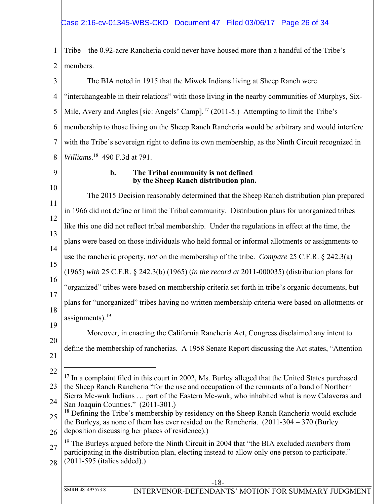1 2 Tribe—the 0.92-acre Rancheria could never have housed more than a handful of the Tribe's members.

3 4 5 6 7 8 The BIA noted in 1915 that the Miwok Indians living at Sheep Ranch were "interchangeable in their relations" with those living in the nearby communities of Murphys, Six-Mile, Avery and Angles [sic: Angels' Camp].<sup>17</sup> (2011-5.) Attempting to limit the Tribe's membership to those living on the Sheep Ranch Rancheria would be arbitrary and would interfere with the Tribe's sovereign right to define its own membership, as the Ninth Circuit recognized in *Williams*. 18 490 F.3d at 791.

# 9

### **b. The Tribal community is not defined by the Sheep Ranch distribution plan.**

10 11 12 13 14 15 16 17 18 19 20 21 22 23 24 25 26 27 28 -18- SMRH:481493573.8 INTERVENOR-DEFENDANTS' MOTION FOR SUMMARY JUDGMENT The 2015 Decision reasonably determined that the Sheep Ranch distribution plan prepared in 1966 did not define or limit the Tribal community. Distribution plans for unorganized tribes like this one did not reflect tribal membership. Under the regulations in effect at the time, the plans were based on those individuals who held formal or informal allotments or assignments to use the rancheria property, *not* on the membership of the tribe. *Compare* 25 C.F.R. § 242.3(a) (1965) *with* 25 C.F.R. § 242.3(b) (1965) (*in the record at* 2011-000035) (distribution plans for "organized" tribes were based on membership criteria set forth in tribe's organic documents, but plans for "unorganized" tribes having no written membership criteria were based on allotments or assignments).<sup>19</sup> Moreover, in enacting the California Rancheria Act, Congress disclaimed any intent to define the membership of rancherias. A 1958 Senate Report discussing the Act states, "Attention  $\overline{a}$  $17$  In a complaint filed in this court in 2002, Ms. Burley alleged that the United States purchased the Sheep Ranch Rancheria "for the use and occupation of the remnants of a band of Northern Sierra Me-wuk Indians … part of the Eastern Me-wuk, who inhabited what is now Calaveras and San Joaquin Counties." (2011-301.) <sup>18</sup> Defining the Tribe's membership by residency on the Sheep Ranch Rancheria would exclude the Burleys, as none of them has ever resided on the Rancheria. (2011-304 – 370 (Burley deposition discussing her places of residence).) 19 The Burleys argued before the Ninth Circuit in 2004 that "the BIA excluded *members* from participating in the distribution plan, electing instead to allow only one person to participate." (2011-595 (italics added).)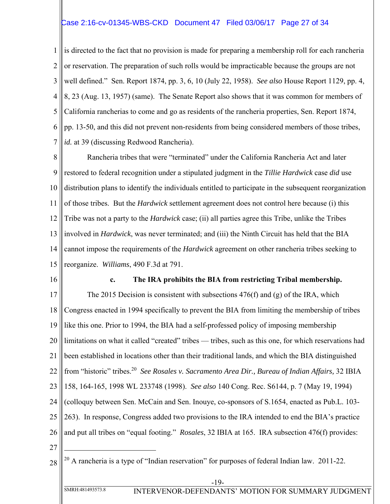### Case 2:16-cv-01345-WBS-CKD Document 47 Filed 03/06/17 Page 27 of 34

1 2 3 4 5 6 7 is directed to the fact that no provision is made for preparing a membership roll for each rancheria or reservation. The preparation of such rolls would be impracticable because the groups are not well defined." Sen. Report 1874, pp. 3, 6, 10 (July 22, 1958). *See also* House Report 1129, pp. 4, 8, 23 (Aug. 13, 1957) (same). The Senate Report also shows that it was common for members of California rancherias to come and go as residents of the rancheria properties, Sen. Report 1874, pp. 13-50, and this did not prevent non-residents from being considered members of those tribes, *id.* at 39 (discussing Redwood Rancheria).

8 9 10 11 12 13 14 15 Rancheria tribes that were "terminated" under the California Rancheria Act and later restored to federal recognition under a stipulated judgment in the *Tillie Hardwick* case *did* use distribution plans to identify the individuals entitled to participate in the subsequent reorganization of those tribes. But the *Hardwick* settlement agreement does not control here because (i) this Tribe was not a party to the *Hardwick* case; (ii) all parties agree this Tribe, unlike the Tribes involved in *Hardwick*, was never terminated; and (iii) the Ninth Circuit has held that the BIA cannot impose the requirements of the *Hardwick* agreement on other rancheria tribes seeking to reorganize. *Williams*, 490 F.3d at 791.

16

#### **c. The IRA prohibits the BIA from restricting Tribal membership.**

17 18 19 20 21 22 23 24 25 26 The 2015 Decision is consistent with subsections  $476(f)$  and (g) of the IRA, which Congress enacted in 1994 specifically to prevent the BIA from limiting the membership of tribes like this one. Prior to 1994, the BIA had a self-professed policy of imposing membership limitations on what it called "created" tribes — tribes, such as this one, for which reservations had been established in locations other than their traditional lands, and which the BIA distinguished from "historic" tribes.20 *See Rosales v. Sacramento Area Dir., Bureau of Indian Affairs,* 32 IBIA 158, 164-165, 1998 WL 233748 (1998). *See also* 140 Cong. Rec. S6144, p. 7 (May 19, 1994) (colloquy between Sen. McCain and Sen. Inouye, co-sponsors of S.1654, enacted as Pub.L. 103- 263). In response, Congress added two provisions to the IRA intended to end the BIA's practice and put all tribes on "equal footing." *Rosales*, 32 IBIA at 165. IRA subsection 476(f) provides:

27

```
28
20 A rancheria is a type of "Indian reservation" for purposes of federal Indian law. 2011-22.
```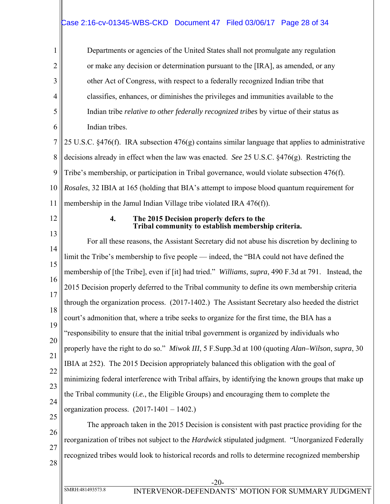# Case 2:16-cv-01345-WBS-CKD Document 47 Filed 03/06/17 Page 28 of 34

Departments or agencies of the United States shall not promulgate any regulation or make any decision or determination pursuant to the [IRA], as amended, or any other Act of Congress, with respect to a federally recognized Indian tribe that classifies, enhances, or diminishes the privileges and immunities available to the Indian tribe *relative to other federally recognized tribes* by virtue of their status as Indian tribes.

7 8 9 10 11 25 U.S.C. §476(f). IRA subsection 476(g) contains similar language that applies to administrative decisions already in effect when the law was enacted. *See* 25 U.S.C. §476(g). Restricting the Tribe's membership, or participation in Tribal governance, would violate subsection 476(f). *Rosales*, 32 IBIA at 165 (holding that BIA's attempt to impose blood quantum requirement for membership in the Jamul Indian Village tribe violated IRA 476(f)).

12

1

2

3

4

5

6

#### **4. The 2015 Decision properly defers to the Tribal community to establish membership criteria.**

13 14 15 16 17 18 19 20 21 22 23 24 25 For all these reasons, the Assistant Secretary did not abuse his discretion by declining to limit the Tribe's membership to five people — indeed, the "BIA could not have defined the membership of [the Tribe], even if [it] had tried." *Williams*, *supra*, 490 F.3d at 791. Instead, the 2015 Decision properly deferred to the Tribal community to define its own membership criteria through the organization process. (2017-1402.) The Assistant Secretary also heeded the district court's admonition that, where a tribe seeks to organize for the first time, the BIA has a "responsibility to ensure that the initial tribal government is organized by individuals who properly have the right to do so." *Miwok III*, 5 F.Supp.3d at 100 (quoting *Alan–Wilson*, *supra*, 30 IBIA at 252). The 2015 Decision appropriately balanced this obligation with the goal of minimizing federal interference with Tribal affairs, by identifying the known groups that make up the Tribal community (*i.e.*, the Eligible Groups) and encouraging them to complete the organization process. (2017-1401 – 1402.) The approach taken in the 2015 Decision is consistent with past practice providing for the

26

27

28

reorganization of tribes not subject to the *Hardwick* stipulated judgment. "Unorganized Federally

recognized tribes would look to historical records and rolls to determine recognized membership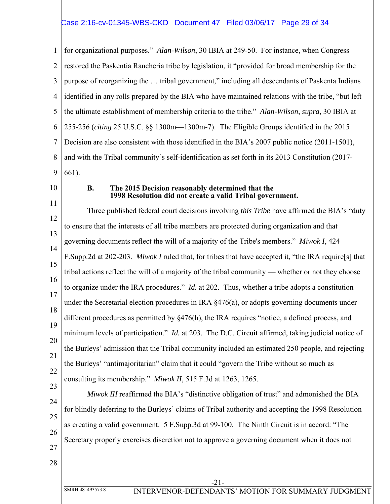### Case 2:16-cv-01345-WBS-CKD Document 47 Filed 03/06/17 Page 29 of 34

1 2 3 4 5 6 7 8 9 for organizational purposes." *Alan-Wilson*, 30 IBIA at 249-50. For instance, when Congress restored the Paskentia Rancheria tribe by legislation, it "provided for broad membership for the purpose of reorganizing the … tribal government," including all descendants of Paskenta Indians identified in any rolls prepared by the BIA who have maintained relations with the tribe, "but left the ultimate establishment of membership criteria to the tribe." *Alan-Wilson*, *supra*, 30 IBIA at 255-256 (*citing* 25 U.S.C. §§ 1300m—1300m-7). The Eligible Groups identified in the 2015 Decision are also consistent with those identified in the BIA's 2007 public notice (2011-1501), and with the Tribal community's self-identification as set forth in its 2013 Constitution (2017- 661).

10

#### **B. The 2015 Decision reasonably determined that the 1998 Resolution did not create a valid Tribal government.**

11 12 13 14 15 16 17 18 19 20 21 22 23 Three published federal court decisions involving *this Tribe* have affirmed the BIA's "duty to ensure that the interests of all tribe members are protected during organization and that governing documents reflect the will of a majority of the Tribe's members." *Miwok I*, 424 F.Supp.2d at 202-203. *Miwok I* ruled that, for tribes that have accepted it, "the IRA require[s] that tribal actions reflect the will of a majority of the tribal community — whether or not they choose to organize under the IRA procedures." *Id.* at 202. Thus, whether a tribe adopts a constitution under the Secretarial election procedures in IRA  $\S 476(a)$ , or adopts governing documents under different procedures as permitted by §476(h), the IRA requires "notice, a defined process, and minimum levels of participation." *Id.* at 203. The D.C. Circuit affirmed, taking judicial notice of the Burleys' admission that the Tribal community included an estimated 250 people, and rejecting the Burleys' "antimajoritarian" claim that it could "govern the Tribe without so much as consulting its membership." *Miwok II*, 515 F.3d at 1263, 1265.

24 25 26 *Miwok III* reaffirmed the BIA's "distinctive obligation of trust" and admonished the BIA for blindly deferring to the Burleys' claims of Tribal authority and accepting the 1998 Resolution as creating a valid government. 5 F.Supp.3d at 99-100. The Ninth Circuit is in accord: "The Secretary properly exercises discretion not to approve a governing document when it does not

- 27
- 28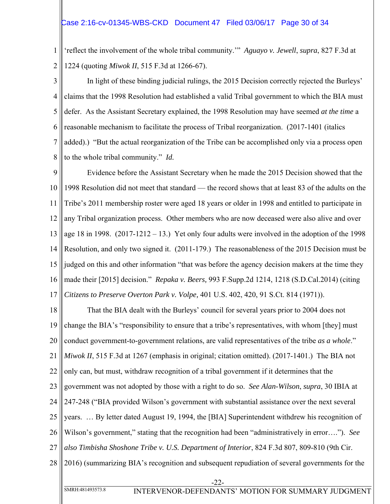1 2 'reflect the involvement of the whole tribal community.'" *Aguayo v. Jewell*, *supra*, 827 F.3d at 1224 (quoting *Miwok II*, 515 F.3d at 1266-67).

3 4 5 6 7 8 In light of these binding judicial rulings, the 2015 Decision correctly rejected the Burleys' claims that the 1998 Resolution had established a valid Tribal government to which the BIA must defer. As the Assistant Secretary explained, the 1998 Resolution may have seemed *at the time* a reasonable mechanism to facilitate the process of Tribal reorganization. (2017-1401 (italics added).) "But the actual reorganization of the Tribe can be accomplished only via a process open to the whole tribal community." *Id.*

9 10 11 12 13 14 15 16 17 Evidence before the Assistant Secretary when he made the 2015 Decision showed that the 1998 Resolution did not meet that standard — the record shows that at least 83 of the adults on the Tribe's 2011 membership roster were aged 18 years or older in 1998 and entitled to participate in any Tribal organization process. Other members who are now deceased were also alive and over age 18 in 1998. (2017-1212 – 13.) Yet only four adults were involved in the adoption of the 1998 Resolution, and only two signed it. (2011-179.) The reasonableness of the 2015 Decision must be judged on this and other information "that was before the agency decision makers at the time they made their [2015] decision." *Repaka v. Beers,* 993 F.Supp.2d 1214, 1218 (S.D.Cal.2014) (citing *Citizens to Preserve Overton Park v. Volpe,* 401 U.S. 402, 420, 91 S.Ct. 814 (1971)).

18 19 20 21 22 23 24 25 26 27 28 That the BIA dealt with the Burleys' council for several years prior to 2004 does not change the BIA's "responsibility to ensure that a tribe's representatives, with whom [they] must conduct government-to-government relations, are valid representatives of the tribe *as a whole*." *Miwok II*, 515 F.3d at 1267 (emphasis in original; citation omitted). (2017-1401.) The BIA not only can, but must, withdraw recognition of a tribal government if it determines that the government was not adopted by those with a right to do so. *See Alan-Wilson*, *supra*, 30 IBIA at 247-248 ("BIA provided Wilson's government with substantial assistance over the next several years. … By letter dated August 19, 1994, the [BIA] Superintendent withdrew his recognition of Wilson's government," stating that the recognition had been "administratively in error…."). *See also Timbisha Shoshone Tribe v. U.S. Department of Interior*, 824 F.3d 807, 809-810 (9th Cir. 2016) (summarizing BIA's recognition and subsequent repudiation of several governments for the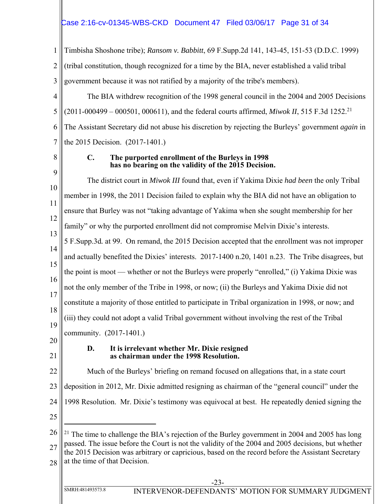# Case 2:16-cv-01345-WBS-CKD Document 47 Filed 03/06/17 Page 31 of 34

| 1              | Timbisha Shoshone tribe); Ransom v. Babbitt, 69 F.Supp.2d 141, 143-45, 151-53 (D.D.C. 1999)                                                                                                             |
|----------------|---------------------------------------------------------------------------------------------------------------------------------------------------------------------------------------------------------|
| $\overline{2}$ | (tribal constitution, though recognized for a time by the BIA, never established a valid tribal                                                                                                         |
| 3              | government because it was not ratified by a majority of the tribe's members).                                                                                                                           |
| 4              | The BIA withdrew recognition of the 1998 general council in the 2004 and 2005 Decisions                                                                                                                 |
| 5              | (2011-000499 – 000501, 000611), and the federal courts affirmed, <i>Miwok II</i> , 515 F.3d 1252. <sup>21</sup>                                                                                         |
| 6              | The Assistant Secretary did not abuse his discretion by rejecting the Burleys' government again in                                                                                                      |
| 7              | the 2015 Decision. (2017-1401.)                                                                                                                                                                         |
| 8              | $\mathbf{C}$ .<br>The purported enrollment of the Burleys in 1998<br>has no bearing on the validity of the 2015 Decision.                                                                               |
| 9              | The district court in Miwok III found that, even if Yakima Dixie had been the only Tribal                                                                                                               |
| 10             | member in 1998, the 2011 Decision failed to explain why the BIA did not have an obligation to                                                                                                           |
| 11<br>12       | ensure that Burley was not "taking advantage of Yakima when she sought membership for her                                                                                                               |
| 13             | family" or why the purported enrollment did not compromise Melvin Dixie's interests.                                                                                                                    |
| 14             | 5 F.Supp.3d. at 99. On remand, the 2015 Decision accepted that the enrollment was not improper                                                                                                          |
| 15             | and actually benefited the Dixies' interests. 2017-1400 n.20, 1401 n.23. The Tribe disagrees, but                                                                                                       |
| 16             | the point is moot — whether or not the Burleys were properly "enrolled," (i) Yakima Dixie was                                                                                                           |
| 17             | not the only member of the Tribe in 1998, or now; (ii) the Burleys and Yakima Dixie did not                                                                                                             |
| 18             | constitute a majority of those entitled to participate in Tribal organization in 1998, or now; and                                                                                                      |
| 19             | (iii) they could not adopt a valid Tribal government without involving the rest of the Tribal                                                                                                           |
| 20             | community. (2017-1401.)                                                                                                                                                                                 |
| 21             | It is irrelevant whether Mr. Dixie resigned<br>D.<br>as chairman under the 1998 Resolution.                                                                                                             |
| 22             | Much of the Burleys' briefing on remand focused on allegations that, in a state court                                                                                                                   |
| 23             | deposition in 2012, Mr. Dixie admitted resigning as chairman of the "general council" under the                                                                                                         |
| 24             | 1998 Resolution. Mr. Dixie's testimony was equivocal at best. He repeatedly denied signing the                                                                                                          |
| 25             |                                                                                                                                                                                                         |
| 26             | <sup>21</sup> The time to challenge the BIA's rejection of the Burley government in 2004 and 2005 has long                                                                                              |
| 27             | passed. The issue before the Court is not the validity of the 2004 and 2005 decisions, but whether<br>the 2015 Decision was arbitrary or capricious, based on the record before the Assistant Secretary |
| 28             | at the time of that Decision.                                                                                                                                                                           |
|                | 23                                                                                                                                                                                                      |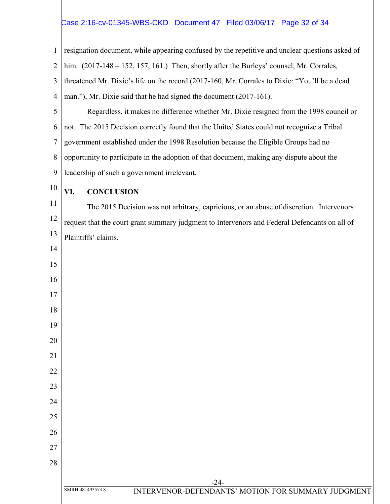# Case 2:16-cv-01345-WBS-CKD Document 47 Filed 03/06/17 Page 32 of 34

 resignation document, while appearing confused by the repetitive and unclear questions asked of him. (2017-148 – 152, 157, 161.) Then, shortly after the Burleys' counsel, Mr. Corrales, threatened Mr. Dixie's life on the record (2017-160, Mr. Corrales to Dixie: "You'll be a dead man."), Mr. Dixie said that he had signed the document (2017-161). Regardless, it makes no difference whether Mr. Dixie resigned from the 1998 council or not. The 2015 Decision correctly found that the United States could not recognize a Tribal government established under the 1998 Resolution because the Eligible Groups had no

 opportunity to participate in the adoption of that document, making any dispute about the leadership of such a government irrelevant.

# **VI. CONCLUSION**

 The 2015 Decision was not arbitrary, capricious, or an abuse of discretion. Intervenors request that the court grant summary judgment to Intervenors and Federal Defendants on all of Plaintiffs' claims.

-24-

SMRH:481493573.8 INTERVENOR-DEFENDANTS' MOTION FOR SUMMARY JUDGMENT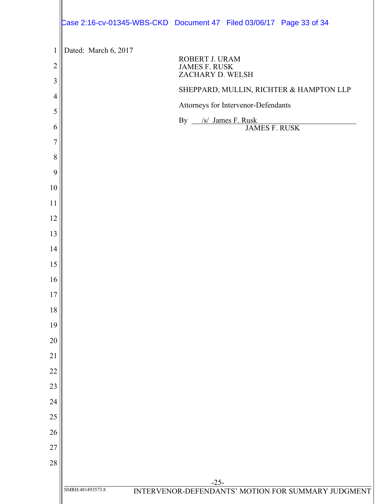|                | Case 2:16-cv-01345-WBS-CKD  Document 47  Filed 03/06/17  Page 33  of 34 |
|----------------|-------------------------------------------------------------------------|
| $\mathbf{1}$   | Dated: March 6, 2017                                                    |
| $\overline{c}$ | ROBERT J. URAM<br><b>JAMES F. RUSK</b><br>ZACHARY D. WELSH              |
| 3              | SHEPPARD, MULLIN, RICHTER & HAMPTON LLP                                 |
| 4              | Attorneys for Intervenor-Defendants                                     |
| 5              | By /s/ James F. Rusk                                                    |
| 6              | <b>JAMES F. RUSK</b>                                                    |
| $\overline{7}$ |                                                                         |
| 8              |                                                                         |
| 9              |                                                                         |
| 10             |                                                                         |
| 11             |                                                                         |
| 12             |                                                                         |
| 13             |                                                                         |
| 14             |                                                                         |
| 15             |                                                                         |
| 16             |                                                                         |
| 17             |                                                                         |
| 18             |                                                                         |
| 19             |                                                                         |
| 20             |                                                                         |
| 21             |                                                                         |
| 22             |                                                                         |
| 23             |                                                                         |
| 24             |                                                                         |
| 25             |                                                                         |
| 26             |                                                                         |
| 27             |                                                                         |
| 28             |                                                                         |
|                | $-25-$                                                                  |
|                | SMRH:481493573.8<br>INTERVENOR-DEFENDANTS' MOTION FOR SUMMARY JUDGMENT  |